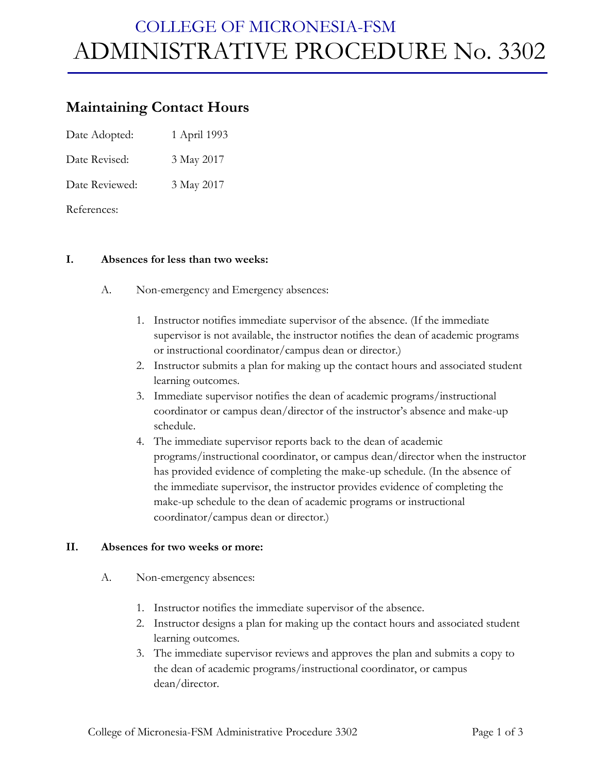# COLLEGE OF MICRONESIA-FSM ADMINISTRATIVE PROCEDURE No. 3302

### **Maintaining Contact Hours**

Date Adopted: 1 April 1993

Date Revised: 3 May 2017

Date Reviewed: 3 May 2017

References:

#### **I. Absences for less than two weeks:**

- A. Non-emergency and Emergency absences:
	- 1. Instructor notifies immediate supervisor of the absence. (If the immediate supervisor is not available, the instructor notifies the dean of academic programs or instructional coordinator/campus dean or director.)
	- 2. Instructor submits a plan for making up the contact hours and associated student learning outcomes.
	- 3. Immediate supervisor notifies the dean of academic programs/instructional coordinator or campus dean/director of the instructor's absence and make-up schedule.
	- 4. The immediate supervisor reports back to the dean of academic programs/instructional coordinator, or campus dean/director when the instructor has provided evidence of completing the make-up schedule. (In the absence of the immediate supervisor, the instructor provides evidence of completing the make-up schedule to the dean of academic programs or instructional coordinator/campus dean or director.)

#### **II. Absences for two weeks or more:**

- A. Non-emergency absences:
	- 1. Instructor notifies the immediate supervisor of the absence.
	- 2. Instructor designs a plan for making up the contact hours and associated student learning outcomes.
	- 3. The immediate supervisor reviews and approves the plan and submits a copy to the dean of academic programs/instructional coordinator, or campus dean/director.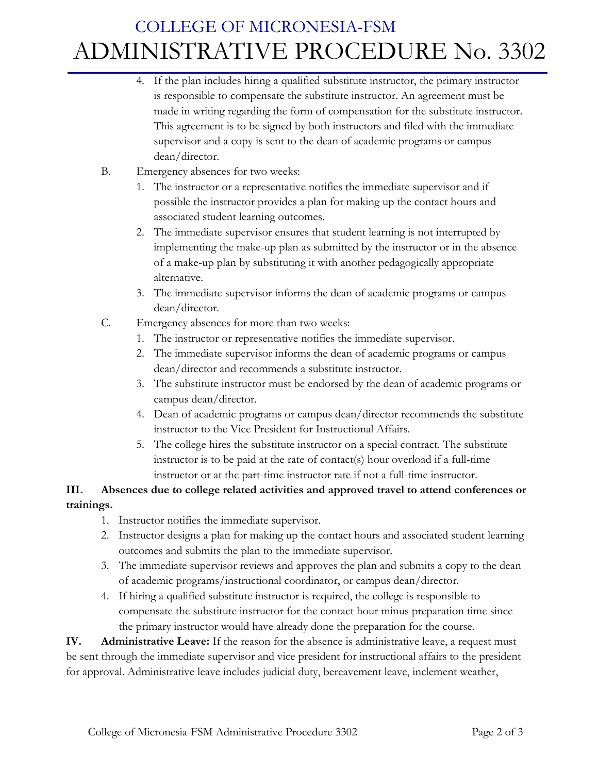### COLLEGE OF MICRONESIA-FSM ADMINISTRATIVE PROCEDURE No. 3302

- 4. If the plan includes hiring a qualified substitute instructor, the primary instructor is responsible to compensate the substitute instructor. An agreement must be made in writing regarding the form of compensation for the substitute instructor. This agreement is to be signed by both instructors and filed with the immediate supervisor and a copy is sent to the dean of academic programs or campus dean/director.
- B. Emergency absences for two weeks:
	- 1. The instructor or a representative notifies the immediate supervisor and if possible the instructor provides a plan for making up the contact hours and associated student learning outcomes.
	- 2. The immediate supervisor ensures that student learning is not interrupted by implementing the make-up plan as submitted by the instructor or in the absence of a make-up plan by substituting it with another pedagogically appropriate alternative.
	- 3. The immediate supervisor informs the dean of academic programs or campus dean/director.
- C. Emergency absences for more than two weeks:
	- 1. The instructor or representative notifies the immediate supervisor.
	- 2. The immediate supervisor informs the dean of academic programs or campus dean/director and recommends a substitute instructor.
	- 3. The substitute instructor must be endorsed by the dean of academic programs or campus dean/director.
	- 4. Dean of academic programs or campus dean/director recommends the substitute instructor to the Vice President for Instructional Affairs.
	- 5. The college hires the substitute instructor on a special contract. The substitute instructor is to be paid at the rate of contact(s) hour overload if a full-time instructor or at the part-time instructor rate if not a full-time instructor.

### **III. Absences due to college related activities and approved travel to attend conferences or trainings.**

- 1. Instructor notifies the immediate supervisor.
- 2. Instructor designs a plan for making up the contact hours and associated student learning outcomes and submits the plan to the immediate supervisor.
- 3. The immediate supervisor reviews and approves the plan and submits a copy to the dean of academic programs/instructional coordinator, or campus dean/director.
- 4. If hiring a qualified substitute instructor is required, the college is responsible to compensate the substitute instructor for the contact hour minus preparation time since the primary instructor would have already done the preparation for the course.

**IV. Administrative Leave:** If the reason for the absence is administrative leave, a request must be sent through the immediate supervisor and vice president for instructional affairs to the president for approval. Administrative leave includes judicial duty, bereavement leave, inclement weather,